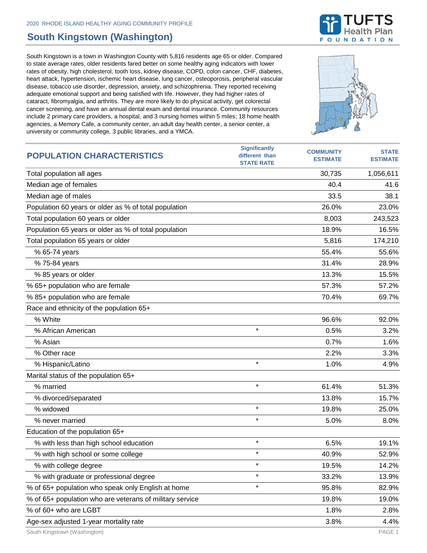## **South Kingstown (Washington)**

South Kingstown is a town in Washington County with 5,816 residents age 65 or older. Compared to state average rates, older residents fared better on some healthy aging indicators with lower rates of obesity, high cholesterol, tooth loss, kidney disease, COPD, colon cancer, CHF, diabetes, heart attack, hypertension, ischemic heart disease, lung cancer, osteoporosis, peripheral vascular disease, tobacco use disorder, depression, anxiety, and schizophrenia. They reported receiving adequate emotional support and being satisfied with life. However, they had higher rates of cataract, fibromyalgia, and arthritis. They are more likely to do physical activity, get colorectal cancer screening, and have an annual dental exam and dental insurance. Community resources include 2 primary care providers, a hospital, and 3 nursing homes within 5 miles; 18 home health agencies, a Memory Cafe, a community center, an adult day health center, a senior center, a university or community college, 3 public libraries, and a YMCA.



| <b>POPULATION CHARACTERISTICS</b>                        | <b>Significantly</b><br>different than<br><b>STATE RATE</b> | <b>COMMUNITY</b><br><b>ESTIMATE</b> | <b>STATE</b><br><b>ESTIMATE</b> |
|----------------------------------------------------------|-------------------------------------------------------------|-------------------------------------|---------------------------------|
| Total population all ages                                |                                                             | 30,735                              | 1,056,611                       |
| Median age of females                                    |                                                             | 40.4                                | 41.6                            |
| Median age of males                                      |                                                             | 33.5                                | 38.1                            |
| Population 60 years or older as % of total population    |                                                             | 26.0%                               | 23.0%                           |
| Total population 60 years or older                       |                                                             | 8,003                               | 243,523                         |
| Population 65 years or older as % of total population    |                                                             | 18.9%                               | 16.5%                           |
| Total population 65 years or older                       |                                                             | 5,816                               | 174,210                         |
| % 65-74 years                                            |                                                             | 55.4%                               | 55.6%                           |
| % 75-84 years                                            |                                                             | 31.4%                               | 28.9%                           |
| % 85 years or older                                      |                                                             | 13.3%                               | 15.5%                           |
| % 65+ population who are female                          |                                                             | 57.3%                               | 57.2%                           |
| % 85+ population who are female                          |                                                             | 70.4%                               | 69.7%                           |
| Race and ethnicity of the population 65+                 |                                                             |                                     |                                 |
| % White                                                  |                                                             | 96.6%                               | 92.0%                           |
| % African American                                       | $\star$                                                     | 0.5%                                | 3.2%                            |
| % Asian                                                  |                                                             | 0.7%                                | 1.6%                            |
| % Other race                                             |                                                             | 2.2%                                | 3.3%                            |
| % Hispanic/Latino                                        | $\star$                                                     | 1.0%                                | 4.9%                            |
| Marital status of the population 65+                     |                                                             |                                     |                                 |
| % married                                                | $\star$                                                     | 61.4%                               | 51.3%                           |
| % divorced/separated                                     |                                                             | 13.8%                               | 15.7%                           |
| % widowed                                                | $\star$                                                     | 19.8%                               | 25.0%                           |
| % never married                                          | $\star$                                                     | 5.0%                                | 8.0%                            |
| Education of the population 65+                          |                                                             |                                     |                                 |
| % with less than high school education                   | $\star$                                                     | 6.5%                                | 19.1%                           |
| % with high school or some college                       | $\star$                                                     | 40.9%                               | 52.9%                           |
| % with college degree                                    |                                                             | 19.5%                               | 14.2%                           |
| % with graduate or professional degree                   | $\star$                                                     | 33.2%                               | 13.9%                           |
| % of 65+ population who speak only English at home       | $\star$                                                     | 95.8%                               | 82.9%                           |
| % of 65+ population who are veterans of military service |                                                             | 19.8%                               | 19.0%                           |
| % of 60+ who are LGBT                                    |                                                             | 1.8%                                | 2.8%                            |
| Age-sex adjusted 1-year mortality rate                   |                                                             | 3.8%                                | 4.4%                            |

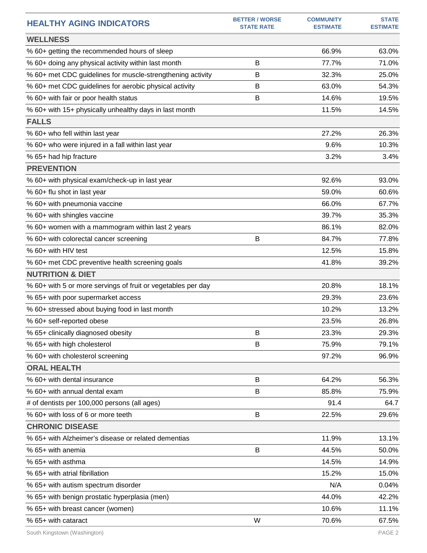| <b>HEALTHY AGING INDICATORS</b>                              | <b>BETTER / WORSE</b><br><b>STATE RATE</b> | <b>COMMUNITY</b><br><b>ESTIMATE</b> | <b>STATE</b><br><b>ESTIMATE</b> |
|--------------------------------------------------------------|--------------------------------------------|-------------------------------------|---------------------------------|
| <b>WELLNESS</b>                                              |                                            |                                     |                                 |
| % 60+ getting the recommended hours of sleep                 |                                            | 66.9%                               | 63.0%                           |
| % 60+ doing any physical activity within last month          | B                                          | 77.7%                               | 71.0%                           |
| % 60+ met CDC guidelines for muscle-strengthening activity   | В                                          | 32.3%                               | 25.0%                           |
| % 60+ met CDC guidelines for aerobic physical activity       | В                                          | 63.0%                               | 54.3%                           |
| % 60+ with fair or poor health status                        | B                                          | 14.6%                               | 19.5%                           |
| % 60+ with 15+ physically unhealthy days in last month       |                                            | 11.5%                               | 14.5%                           |
| <b>FALLS</b>                                                 |                                            |                                     |                                 |
| % 60+ who fell within last year                              |                                            | 27.2%                               | 26.3%                           |
| % 60+ who were injured in a fall within last year            |                                            | 9.6%                                | 10.3%                           |
| % 65+ had hip fracture                                       |                                            | 3.2%                                | 3.4%                            |
| <b>PREVENTION</b>                                            |                                            |                                     |                                 |
| % 60+ with physical exam/check-up in last year               |                                            | 92.6%                               | 93.0%                           |
| % 60+ flu shot in last year                                  |                                            | 59.0%                               | 60.6%                           |
| % 60+ with pneumonia vaccine                                 |                                            | 66.0%                               | 67.7%                           |
| % 60+ with shingles vaccine                                  |                                            | 39.7%                               | 35.3%                           |
| % 60+ women with a mammogram within last 2 years             |                                            | 86.1%                               | 82.0%                           |
| % 60+ with colorectal cancer screening                       | B                                          | 84.7%                               | 77.8%                           |
| % 60+ with HIV test                                          |                                            | 12.5%                               | 15.8%                           |
| % 60+ met CDC preventive health screening goals              |                                            | 41.8%                               | 39.2%                           |
| <b>NUTRITION &amp; DIET</b>                                  |                                            |                                     |                                 |
| % 60+ with 5 or more servings of fruit or vegetables per day |                                            | 20.8%                               | 18.1%                           |
| % 65+ with poor supermarket access                           |                                            | 29.3%                               | 23.6%                           |
| % 60+ stressed about buying food in last month               |                                            | 10.2%                               | 13.2%                           |
| % 60+ self-reported obese                                    |                                            | 23.5%                               | 26.8%                           |
| % 65+ clinically diagnosed obesity                           | В                                          | 23.3%                               | 29.3%                           |
| % 65+ with high cholesterol                                  | B                                          | 75.9%                               | 79.1%                           |
| % 60+ with cholesterol screening                             |                                            | 97.2%                               | 96.9%                           |
| <b>ORAL HEALTH</b>                                           |                                            |                                     |                                 |
| % 60+ with dental insurance                                  | B                                          | 64.2%                               | 56.3%                           |
| % 60+ with annual dental exam                                | B                                          | 85.8%                               | 75.9%                           |
| # of dentists per 100,000 persons (all ages)                 |                                            | 91.4                                | 64.7                            |
| % 60+ with loss of 6 or more teeth                           | B                                          | 22.5%                               | 29.6%                           |
| <b>CHRONIC DISEASE</b>                                       |                                            |                                     |                                 |
| % 65+ with Alzheimer's disease or related dementias          |                                            | 11.9%                               | 13.1%                           |
| % 65+ with anemia                                            | B                                          | 44.5%                               | 50.0%                           |
| % 65+ with asthma                                            |                                            | 14.5%                               | 14.9%                           |
| % 65+ with atrial fibrillation                               |                                            | 15.2%                               | 15.0%                           |
| % 65+ with autism spectrum disorder                          |                                            | N/A                                 | 0.04%                           |
| % 65+ with benign prostatic hyperplasia (men)                |                                            | 44.0%                               | 42.2%                           |
| % 65+ with breast cancer (women)                             |                                            | 10.6%                               | 11.1%                           |
| % 65+ with cataract                                          | W                                          | 70.6%                               | 67.5%                           |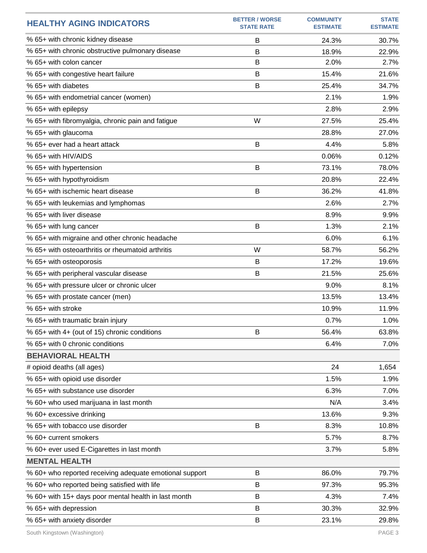| <b>HEALTHY AGING INDICATORS</b>                         | <b>BETTER / WORSE</b><br><b>STATE RATE</b> | <b>COMMUNITY</b><br><b>ESTIMATE</b> | <b>STATE</b><br><b>ESTIMATE</b> |
|---------------------------------------------------------|--------------------------------------------|-------------------------------------|---------------------------------|
| % 65+ with chronic kidney disease                       | B                                          | 24.3%                               | 30.7%                           |
| % 65+ with chronic obstructive pulmonary disease        | B                                          | 18.9%                               | 22.9%                           |
| % 65+ with colon cancer                                 | B                                          | 2.0%                                | 2.7%                            |
| % 65+ with congestive heart failure                     | B                                          | 15.4%                               | 21.6%                           |
| % 65+ with diabetes                                     | B                                          | 25.4%                               | 34.7%                           |
| % 65+ with endometrial cancer (women)                   |                                            | 2.1%                                | 1.9%                            |
| % 65+ with epilepsy                                     |                                            | 2.8%                                | 2.9%                            |
| % 65+ with fibromyalgia, chronic pain and fatigue       | W                                          | 27.5%                               | 25.4%                           |
| % 65+ with glaucoma                                     |                                            | 28.8%                               | 27.0%                           |
| % 65+ ever had a heart attack                           | B                                          | 4.4%                                | 5.8%                            |
| % 65+ with HIV/AIDS                                     |                                            | 0.06%                               | 0.12%                           |
| % 65+ with hypertension                                 | B                                          | 73.1%                               | 78.0%                           |
| % 65+ with hypothyroidism                               |                                            | 20.8%                               | 22.4%                           |
| % 65+ with ischemic heart disease                       | B                                          | 36.2%                               | 41.8%                           |
| % 65+ with leukemias and lymphomas                      |                                            | 2.6%                                | 2.7%                            |
| % 65+ with liver disease                                |                                            | 8.9%                                | 9.9%                            |
| % 65+ with lung cancer                                  | B                                          | 1.3%                                | 2.1%                            |
| % 65+ with migraine and other chronic headache          |                                            | 6.0%                                | 6.1%                            |
| % 65+ with osteoarthritis or rheumatoid arthritis       | W                                          | 58.7%                               | 56.2%                           |
| % 65+ with osteoporosis                                 | B                                          | 17.2%                               | 19.6%                           |
| % 65+ with peripheral vascular disease                  | B                                          | 21.5%                               | 25.6%                           |
| % 65+ with pressure ulcer or chronic ulcer              |                                            | 9.0%                                | 8.1%                            |
| % 65+ with prostate cancer (men)                        |                                            | 13.5%                               | 13.4%                           |
| % 65+ with stroke                                       |                                            | 10.9%                               | 11.9%                           |
| % 65+ with traumatic brain injury                       |                                            | 0.7%                                | 1.0%                            |
| % 65+ with 4+ (out of 15) chronic conditions            | B                                          | 56.4%                               | 63.8%                           |
| % 65+ with 0 chronic conditions                         |                                            | 6.4%                                | 7.0%                            |
| <b>BEHAVIORAL HEALTH</b>                                |                                            |                                     |                                 |
| # opioid deaths (all ages)                              |                                            | 24                                  | 1,654                           |
| % 65+ with opioid use disorder                          |                                            | 1.5%                                | 1.9%                            |
| % 65+ with substance use disorder                       |                                            | 6.3%                                | 7.0%                            |
| % 60+ who used marijuana in last month                  |                                            | N/A                                 | 3.4%                            |
| % 60+ excessive drinking                                |                                            | 13.6%                               | 9.3%                            |
| % 65+ with tobacco use disorder                         | B                                          | 8.3%                                | 10.8%                           |
| % 60+ current smokers                                   |                                            | 5.7%                                | 8.7%                            |
| % 60+ ever used E-Cigarettes in last month              |                                            | 3.7%                                | 5.8%                            |
| <b>MENTAL HEALTH</b>                                    |                                            |                                     |                                 |
| % 60+ who reported receiving adequate emotional support | B                                          | 86.0%                               | 79.7%                           |
| % 60+ who reported being satisfied with life            | B                                          | 97.3%                               | 95.3%                           |
| % 60+ with 15+ days poor mental health in last month    | B                                          | 4.3%                                | 7.4%                            |
| % 65+ with depression                                   | B                                          | 30.3%                               | 32.9%                           |
| % 65+ with anxiety disorder                             | B                                          | 23.1%                               | 29.8%                           |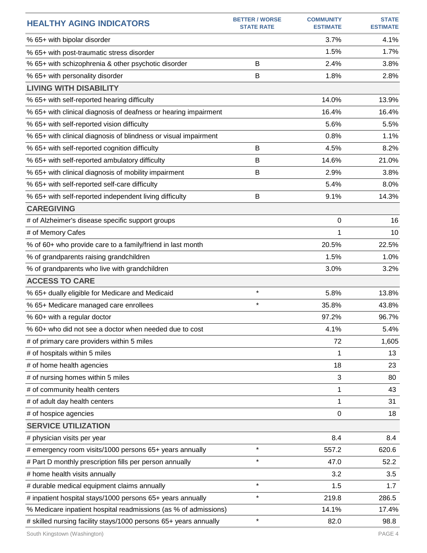| <b>HEALTHY AGING INDICATORS</b>                                  | <b>BETTER / WORSE</b><br><b>STATE RATE</b> | <b>COMMUNITY</b><br><b>ESTIMATE</b> | <b>STATE</b><br><b>ESTIMATE</b> |
|------------------------------------------------------------------|--------------------------------------------|-------------------------------------|---------------------------------|
| % 65+ with bipolar disorder                                      |                                            | 3.7%                                | 4.1%                            |
| % 65+ with post-traumatic stress disorder                        |                                            | 1.5%                                | 1.7%                            |
| % 65+ with schizophrenia & other psychotic disorder              | B                                          | 2.4%                                | 3.8%                            |
| % 65+ with personality disorder                                  | B                                          | 1.8%                                | 2.8%                            |
| <b>LIVING WITH DISABILITY</b>                                    |                                            |                                     |                                 |
| % 65+ with self-reported hearing difficulty                      |                                            | 14.0%                               | 13.9%                           |
| % 65+ with clinical diagnosis of deafness or hearing impairment  |                                            | 16.4%                               | 16.4%                           |
| % 65+ with self-reported vision difficulty                       |                                            | 5.6%                                | 5.5%                            |
| % 65+ with clinical diagnosis of blindness or visual impairment  |                                            | 0.8%                                | 1.1%                            |
| % 65+ with self-reported cognition difficulty                    | B                                          | 4.5%                                | 8.2%                            |
| % 65+ with self-reported ambulatory difficulty                   | B                                          | 14.6%                               | 21.0%                           |
| % 65+ with clinical diagnosis of mobility impairment             | B                                          | 2.9%                                | 3.8%                            |
| % 65+ with self-reported self-care difficulty                    |                                            | 5.4%                                | 8.0%                            |
| % 65+ with self-reported independent living difficulty           | B                                          | 9.1%                                | 14.3%                           |
| <b>CAREGIVING</b>                                                |                                            |                                     |                                 |
| # of Alzheimer's disease specific support groups                 |                                            | 0                                   | 16                              |
| # of Memory Cafes                                                |                                            | 1                                   | 10                              |
| % of 60+ who provide care to a family/friend in last month       |                                            | 20.5%                               | 22.5%                           |
| % of grandparents raising grandchildren                          |                                            | 1.5%                                | 1.0%                            |
| % of grandparents who live with grandchildren                    |                                            | 3.0%                                | 3.2%                            |
| <b>ACCESS TO CARE</b>                                            |                                            |                                     |                                 |
| % 65+ dually eligible for Medicare and Medicaid                  | $\star$                                    | 5.8%                                | 13.8%                           |
| % 65+ Medicare managed care enrollees                            | $\star$                                    | 35.8%                               | 43.8%                           |
| % 60+ with a regular doctor                                      |                                            | 97.2%                               | 96.7%                           |
| % 60+ who did not see a doctor when needed due to cost           |                                            | 4.1%                                | 5.4%                            |
| # of primary care providers within 5 miles                       |                                            | 72                                  | 1,605                           |
| # of hospitals within 5 miles                                    |                                            | 1                                   | 13                              |
| # of home health agencies                                        |                                            | 18                                  | 23                              |
| # of nursing homes within 5 miles                                |                                            | 3                                   | 80                              |
| # of community health centers                                    |                                            | 1                                   | 43                              |
| # of adult day health centers                                    |                                            | 1                                   | 31                              |
| # of hospice agencies                                            |                                            | 0                                   | 18                              |
| <b>SERVICE UTILIZATION</b>                                       |                                            |                                     |                                 |
| # physician visits per year                                      |                                            | 8.4                                 | 8.4                             |
| # emergency room visits/1000 persons 65+ years annually          | $\star$                                    | 557.2                               | 620.6                           |
| # Part D monthly prescription fills per person annually          | $\star$                                    | 47.0                                | 52.2                            |
| # home health visits annually                                    |                                            | 3.2                                 | 3.5                             |
| # durable medical equipment claims annually                      | $\star$                                    | 1.5                                 | 1.7                             |
| # inpatient hospital stays/1000 persons 65+ years annually       | $\star$                                    | 219.8                               | 286.5                           |
| % Medicare inpatient hospital readmissions (as % of admissions)  |                                            | 14.1%                               | 17.4%                           |
| # skilled nursing facility stays/1000 persons 65+ years annually | $\star$                                    | 82.0                                | 98.8                            |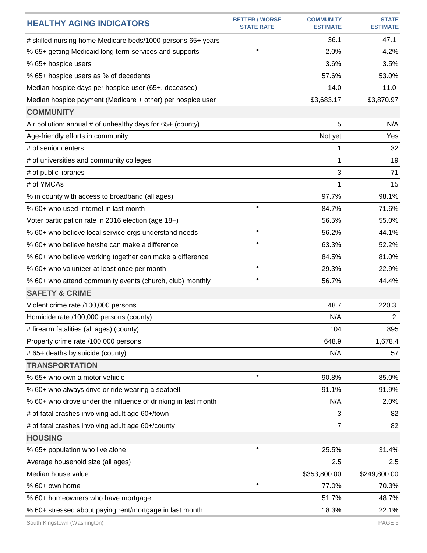| <b>HEALTHY AGING INDICATORS</b>                               | <b>BETTER / WORSE</b><br><b>STATE RATE</b> | <b>COMMUNITY</b><br><b>ESTIMATE</b> | <b>STATE</b><br><b>ESTIMATE</b> |
|---------------------------------------------------------------|--------------------------------------------|-------------------------------------|---------------------------------|
| # skilled nursing home Medicare beds/1000 persons 65+ years   |                                            | 36.1                                | 47.1                            |
| % 65+ getting Medicaid long term services and supports        | $\star$                                    | 2.0%                                | 4.2%                            |
| % 65+ hospice users                                           |                                            | 3.6%                                | 3.5%                            |
| % 65+ hospice users as % of decedents                         |                                            | 57.6%                               | 53.0%                           |
| Median hospice days per hospice user (65+, deceased)          |                                            | 14.0                                | 11.0                            |
| Median hospice payment (Medicare + other) per hospice user    |                                            | \$3,683.17                          | \$3,870.97                      |
| <b>COMMUNITY</b>                                              |                                            |                                     |                                 |
| Air pollution: annual # of unhealthy days for 65+ (county)    |                                            | 5                                   | N/A                             |
| Age-friendly efforts in community                             |                                            | Not yet                             | Yes                             |
| # of senior centers                                           |                                            | 1                                   | 32                              |
| # of universities and community colleges                      |                                            | 1                                   | 19                              |
| # of public libraries                                         |                                            | 3                                   | 71                              |
| # of YMCAs                                                    |                                            | 1                                   | 15                              |
| % in county with access to broadband (all ages)               |                                            | 97.7%                               | 98.1%                           |
| % 60+ who used Internet in last month                         | $\star$                                    | 84.7%                               | 71.6%                           |
| Voter participation rate in 2016 election (age 18+)           |                                            | 56.5%                               | 55.0%                           |
| % 60+ who believe local service orgs understand needs         | $\star$                                    | 56.2%                               | 44.1%                           |
| % 60+ who believe he/she can make a difference                | $\star$                                    | 63.3%                               | 52.2%                           |
| % 60+ who believe working together can make a difference      |                                            | 84.5%                               | 81.0%                           |
| % 60+ who volunteer at least once per month                   | $\star$                                    | 29.3%                               | 22.9%                           |
| % 60+ who attend community events (church, club) monthly      | $\star$                                    | 56.7%                               | 44.4%                           |
| <b>SAFETY &amp; CRIME</b>                                     |                                            |                                     |                                 |
| Violent crime rate /100,000 persons                           |                                            | 48.7                                | 220.3                           |
| Homicide rate /100,000 persons (county)                       |                                            | N/A                                 | $\overline{2}$                  |
| # firearm fatalities (all ages) (county)                      |                                            | 104                                 | 895                             |
| Property crime rate /100,000 persons                          |                                            | 648.9                               | 1,678.4                         |
| # 65+ deaths by suicide (county)                              |                                            | N/A                                 | 57                              |
| <b>TRANSPORTATION</b>                                         |                                            |                                     |                                 |
| % 65+ who own a motor vehicle                                 | $\star$                                    | 90.8%                               | 85.0%                           |
| % 60+ who always drive or ride wearing a seatbelt             |                                            | 91.1%                               | 91.9%                           |
| % 60+ who drove under the influence of drinking in last month |                                            | N/A                                 | 2.0%                            |
| # of fatal crashes involving adult age 60+/town               |                                            | 3                                   | 82                              |
| # of fatal crashes involving adult age 60+/county             |                                            | 7                                   | 82                              |
| <b>HOUSING</b>                                                |                                            |                                     |                                 |
| % 65+ population who live alone                               | $\star$                                    | 25.5%                               | 31.4%                           |
| Average household size (all ages)                             |                                            | 2.5                                 | 2.5                             |
| Median house value                                            |                                            | \$353,800.00                        | \$249,800.00                    |
| % 60+ own home                                                | $\star$                                    | 77.0%                               | 70.3%                           |
| % 60+ homeowners who have mortgage                            |                                            | 51.7%                               | 48.7%                           |
| % 60+ stressed about paying rent/mortgage in last month       |                                            | 18.3%                               | 22.1%                           |